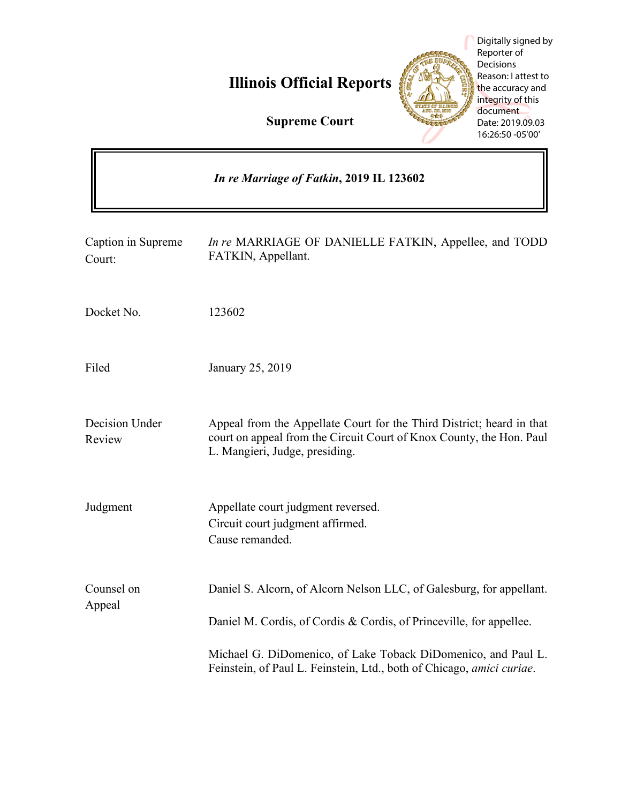# **Illinois Official Reports**



Digitally signed by Reporter of **Decisions** Reason: I attest to the accuracy and integrity of this document Date: 2019.09.03 16:26:50 -05'00'

| <b>Supreme Court</b> |  |  |
|----------------------|--|--|
|----------------------|--|--|

| In re Marriage of Fatkin, 2019 IL 123602 |                                                                                                                                                                                 |  |
|------------------------------------------|---------------------------------------------------------------------------------------------------------------------------------------------------------------------------------|--|
| Caption in Supreme<br>Court:             | In re MARRIAGE OF DANIELLE FATKIN, Appellee, and TODD<br>FATKIN, Appellant.                                                                                                     |  |
| Docket No.                               | 123602                                                                                                                                                                          |  |
| Filed                                    | January 25, 2019                                                                                                                                                                |  |
| Decision Under<br>Review                 | Appeal from the Appellate Court for the Third District; heard in that<br>court on appeal from the Circuit Court of Knox County, the Hon. Paul<br>L. Mangieri, Judge, presiding. |  |
| Judgment                                 | Appellate court judgment reversed.<br>Circuit court judgment affirmed.<br>Cause remanded.                                                                                       |  |
| Counsel on<br>Appeal                     | Daniel S. Alcorn, of Alcorn Nelson LLC, of Galesburg, for appellant.<br>Daniel M. Cordis, of Cordis & Cordis, of Princeville, for appellee.                                     |  |
|                                          | Michael G. DiDomenico, of Lake Toback DiDomenico, and Paul L.<br>Feinstein, of Paul L. Feinstein, Ltd., both of Chicago, amici curiae.                                          |  |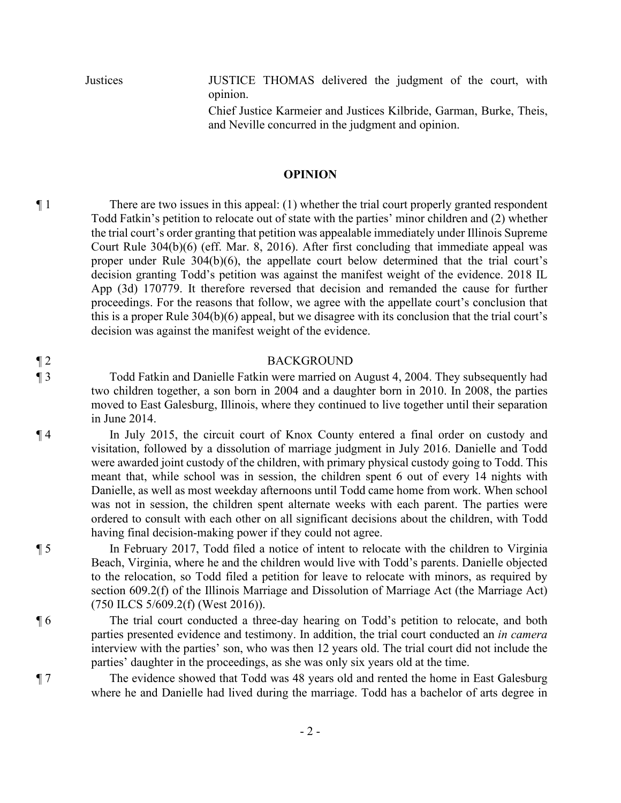Justices JUSTICE THOMAS delivered the judgment of the court, with opinion.

> Chief Justice Karmeier and Justices Kilbride, Garman, Burke, Theis, and Neville concurred in the judgment and opinion.

#### **OPINION**

¶ 1 There are two issues in this appeal: (1) whether the trial court properly granted respondent Todd Fatkin's petition to relocate out of state with the parties' minor children and (2) whether the trial court's order granting that petition was appealable immediately under Illinois Supreme Court Rule 304(b)(6) (eff. Mar. 8, 2016). After first concluding that immediate appeal was proper under Rule 304(b)(6), the appellate court below determined that the trial court's decision granting Todd's petition was against the manifest weight of the evidence. 2018 IL App (3d) 170779. It therefore reversed that decision and remanded the cause for further proceedings. For the reasons that follow, we agree with the appellate court's conclusion that this is a proper Rule 304(b)(6) appeal, but we disagree with its conclusion that the trial court's decision was against the manifest weight of the evidence.

#### ¶ 2 BACKGROUND

¶ 3 Todd Fatkin and Danielle Fatkin were married on August 4, 2004. They subsequently had two children together, a son born in 2004 and a daughter born in 2010. In 2008, the parties moved to East Galesburg, Illinois, where they continued to live together until their separation in June 2014.

¶ 4 In July 2015, the circuit court of Knox County entered a final order on custody and visitation, followed by a dissolution of marriage judgment in July 2016. Danielle and Todd were awarded joint custody of the children, with primary physical custody going to Todd. This meant that, while school was in session, the children spent 6 out of every 14 nights with Danielle, as well as most weekday afternoons until Todd came home from work. When school was not in session, the children spent alternate weeks with each parent. The parties were ordered to consult with each other on all significant decisions about the children, with Todd having final decision-making power if they could not agree.

¶ 5 In February 2017, Todd filed a notice of intent to relocate with the children to Virginia Beach, Virginia, where he and the children would live with Todd's parents. Danielle objected to the relocation, so Todd filed a petition for leave to relocate with minors, as required by section 609.2(f) of the Illinois Marriage and Dissolution of Marriage Act (the Marriage Act) (750 ILCS 5/609.2(f) (West 2016)).

¶ 6 The trial court conducted a three-day hearing on Todd's petition to relocate, and both parties presented evidence and testimony. In addition, the trial court conducted an *in camera* interview with the parties' son, who was then 12 years old. The trial court did not include the parties' daughter in the proceedings, as she was only six years old at the time.

¶ 7 The evidence showed that Todd was 48 years old and rented the home in East Galesburg where he and Danielle had lived during the marriage. Todd has a bachelor of arts degree in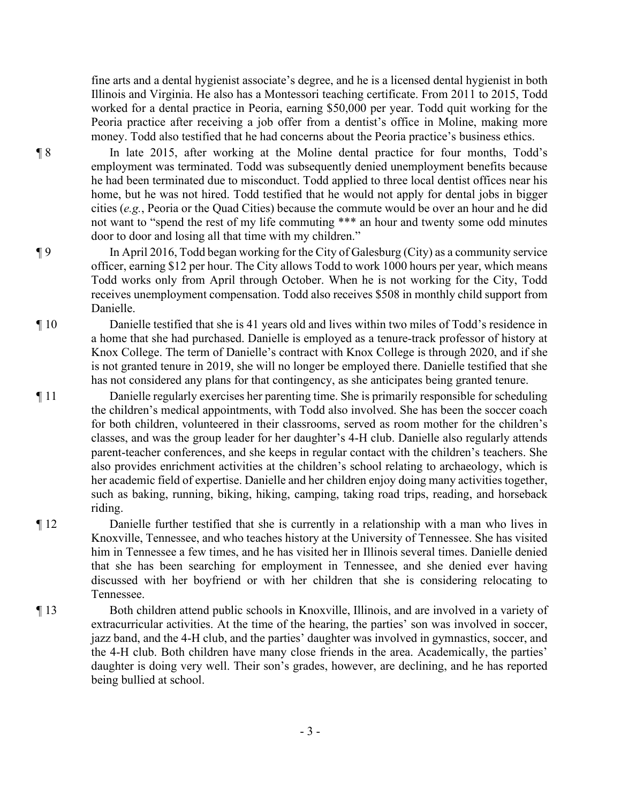fine arts and a dental hygienist associate's degree, and he is a licensed dental hygienist in both Illinois and Virginia. He also has a Montessori teaching certificate. From 2011 to 2015, Todd worked for a dental practice in Peoria, earning \$50,000 per year. Todd quit working for the Peoria practice after receiving a job offer from a dentist's office in Moline, making more money. Todd also testified that he had concerns about the Peoria practice's business ethics.

¶ 8 In late 2015, after working at the Moline dental practice for four months, Todd's employment was terminated. Todd was subsequently denied unemployment benefits because he had been terminated due to misconduct. Todd applied to three local dentist offices near his home, but he was not hired. Todd testified that he would not apply for dental jobs in bigger cities (*e.g.*, Peoria or the Quad Cities) because the commute would be over an hour and he did not want to "spend the rest of my life commuting \*\*\* an hour and twenty some odd minutes door to door and losing all that time with my children."

- ¶ 9 In April 2016, Todd began working for the City of Galesburg (City) as a community service officer, earning \$12 per hour. The City allows Todd to work 1000 hours per year, which means Todd works only from April through October. When he is not working for the City, Todd receives unemployment compensation. Todd also receives \$508 in monthly child support from Danielle.
- ¶ 10 Danielle testified that she is 41 years old and lives within two miles of Todd's residence in a home that she had purchased. Danielle is employed as a tenure-track professor of history at Knox College. The term of Danielle's contract with Knox College is through 2020, and if she is not granted tenure in 2019, she will no longer be employed there. Danielle testified that she has not considered any plans for that contingency, as she anticipates being granted tenure.
- ¶ 11 Danielle regularly exercises her parenting time. She is primarily responsible for scheduling the children's medical appointments, with Todd also involved. She has been the soccer coach for both children, volunteered in their classrooms, served as room mother for the children's classes, and was the group leader for her daughter's 4-H club. Danielle also regularly attends parent-teacher conferences, and she keeps in regular contact with the children's teachers. She also provides enrichment activities at the children's school relating to archaeology, which is her academic field of expertise. Danielle and her children enjoy doing many activities together, such as baking, running, biking, hiking, camping, taking road trips, reading, and horseback riding.
- ¶ 12 Danielle further testified that she is currently in a relationship with a man who lives in Knoxville, Tennessee, and who teaches history at the University of Tennessee. She has visited him in Tennessee a few times, and he has visited her in Illinois several times. Danielle denied that she has been searching for employment in Tennessee, and she denied ever having discussed with her boyfriend or with her children that she is considering relocating to Tennessee.
- ¶ 13 Both children attend public schools in Knoxville, Illinois, and are involved in a variety of extracurricular activities. At the time of the hearing, the parties' son was involved in soccer, jazz band, and the 4-H club, and the parties' daughter was involved in gymnastics, soccer, and the 4-H club. Both children have many close friends in the area. Academically, the parties' daughter is doing very well. Their son's grades, however, are declining, and he has reported being bullied at school.
	- 3 -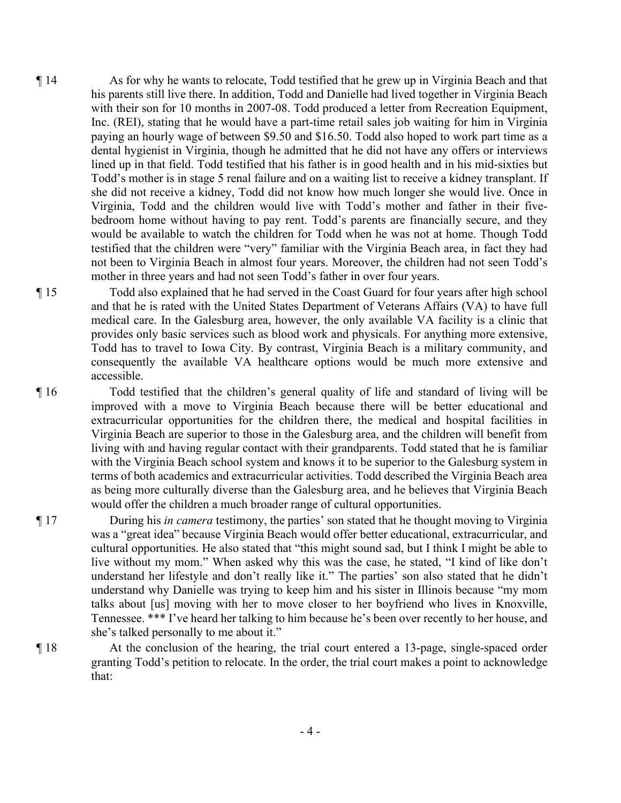- ¶ 14 As for why he wants to relocate, Todd testified that he grew up in Virginia Beach and that his parents still live there. In addition, Todd and Danielle had lived together in Virginia Beach with their son for 10 months in 2007-08. Todd produced a letter from Recreation Equipment, Inc. (REI), stating that he would have a part-time retail sales job waiting for him in Virginia paying an hourly wage of between \$9.50 and \$16.50. Todd also hoped to work part time as a dental hygienist in Virginia, though he admitted that he did not have any offers or interviews lined up in that field. Todd testified that his father is in good health and in his mid-sixties but Todd's mother is in stage 5 renal failure and on a waiting list to receive a kidney transplant. If she did not receive a kidney, Todd did not know how much longer she would live. Once in Virginia, Todd and the children would live with Todd's mother and father in their fivebedroom home without having to pay rent. Todd's parents are financially secure, and they would be available to watch the children for Todd when he was not at home. Though Todd testified that the children were "very" familiar with the Virginia Beach area, in fact they had not been to Virginia Beach in almost four years. Moreover, the children had not seen Todd's mother in three years and had not seen Todd's father in over four years.
- ¶ 15 Todd also explained that he had served in the Coast Guard for four years after high school and that he is rated with the United States Department of Veterans Affairs (VA) to have full medical care. In the Galesburg area, however, the only available VA facility is a clinic that provides only basic services such as blood work and physicals. For anything more extensive, Todd has to travel to Iowa City. By contrast, Virginia Beach is a military community, and consequently the available VA healthcare options would be much more extensive and accessible.
- ¶ 16 Todd testified that the children's general quality of life and standard of living will be improved with a move to Virginia Beach because there will be better educational and extracurricular opportunities for the children there, the medical and hospital facilities in Virginia Beach are superior to those in the Galesburg area, and the children will benefit from living with and having regular contact with their grandparents. Todd stated that he is familiar with the Virginia Beach school system and knows it to be superior to the Galesburg system in terms of both academics and extracurricular activities. Todd described the Virginia Beach area as being more culturally diverse than the Galesburg area, and he believes that Virginia Beach would offer the children a much broader range of cultural opportunities.
- ¶ 17 During his *in camera* testimony, the parties' son stated that he thought moving to Virginia was a "great idea" because Virginia Beach would offer better educational, extracurricular, and cultural opportunities. He also stated that "this might sound sad, but I think I might be able to live without my mom." When asked why this was the case, he stated, "I kind of like don't understand her lifestyle and don't really like it." The parties' son also stated that he didn't understand why Danielle was trying to keep him and his sister in Illinois because "my mom talks about [us] moving with her to move closer to her boyfriend who lives in Knoxville, Tennessee. \*\*\* I've heard her talking to him because he's been over recently to her house, and she's talked personally to me about it."
- ¶ 18 At the conclusion of the hearing, the trial court entered a 13-page, single-spaced order granting Todd's petition to relocate. In the order, the trial court makes a point to acknowledge that: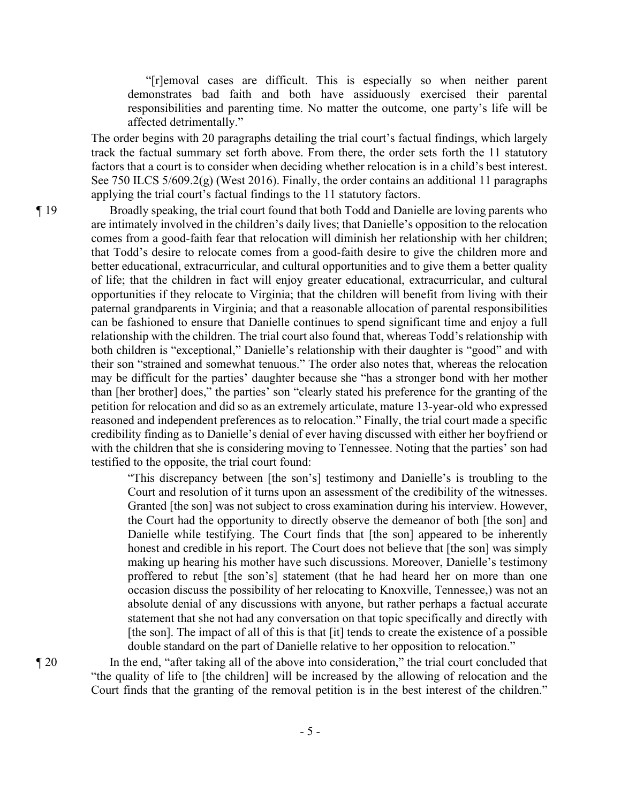"[r]emoval cases are difficult. This is especially so when neither parent demonstrates bad faith and both have assiduously exercised their parental responsibilities and parenting time. No matter the outcome, one party's life will be affected detrimentally."

The order begins with 20 paragraphs detailing the trial court's factual findings, which largely track the factual summary set forth above. From there, the order sets forth the 11 statutory factors that a court is to consider when deciding whether relocation is in a child's best interest. See 750 ILCS 5/609.2(g) (West 2016). Finally, the order contains an additional 11 paragraphs applying the trial court's factual findings to the 11 statutory factors.

¶ 19 Broadly speaking, the trial court found that both Todd and Danielle are loving parents who are intimately involved in the children's daily lives; that Danielle's opposition to the relocation comes from a good-faith fear that relocation will diminish her relationship with her children; that Todd's desire to relocate comes from a good-faith desire to give the children more and better educational, extracurricular, and cultural opportunities and to give them a better quality of life; that the children in fact will enjoy greater educational, extracurricular, and cultural opportunities if they relocate to Virginia; that the children will benefit from living with their paternal grandparents in Virginia; and that a reasonable allocation of parental responsibilities can be fashioned to ensure that Danielle continues to spend significant time and enjoy a full relationship with the children. The trial court also found that, whereas Todd's relationship with both children is "exceptional," Danielle's relationship with their daughter is "good" and with their son "strained and somewhat tenuous." The order also notes that, whereas the relocation may be difficult for the parties' daughter because she "has a stronger bond with her mother than [her brother] does," the parties' son "clearly stated his preference for the granting of the petition for relocation and did so as an extremely articulate, mature 13-year-old who expressed reasoned and independent preferences as to relocation." Finally, the trial court made a specific credibility finding as to Danielle's denial of ever having discussed with either her boyfriend or with the children that she is considering moving to Tennessee. Noting that the parties' son had testified to the opposite, the trial court found:

> "This discrepancy between [the son's] testimony and Danielle's is troubling to the Court and resolution of it turns upon an assessment of the credibility of the witnesses. Granted [the son] was not subject to cross examination during his interview. However, the Court had the opportunity to directly observe the demeanor of both [the son] and Danielle while testifying. The Court finds that [the son] appeared to be inherently honest and credible in his report. The Court does not believe that [the son] was simply making up hearing his mother have such discussions. Moreover, Danielle's testimony proffered to rebut [the son's] statement (that he had heard her on more than one occasion discuss the possibility of her relocating to Knoxville, Tennessee,) was not an absolute denial of any discussions with anyone, but rather perhaps a factual accurate statement that she not had any conversation on that topic specifically and directly with [the son]. The impact of all of this is that [it] tends to create the existence of a possible double standard on the part of Danielle relative to her opposition to relocation."

¶ 20 In the end, "after taking all of the above into consideration," the trial court concluded that "the quality of life to [the children] will be increased by the allowing of relocation and the Court finds that the granting of the removal petition is in the best interest of the children."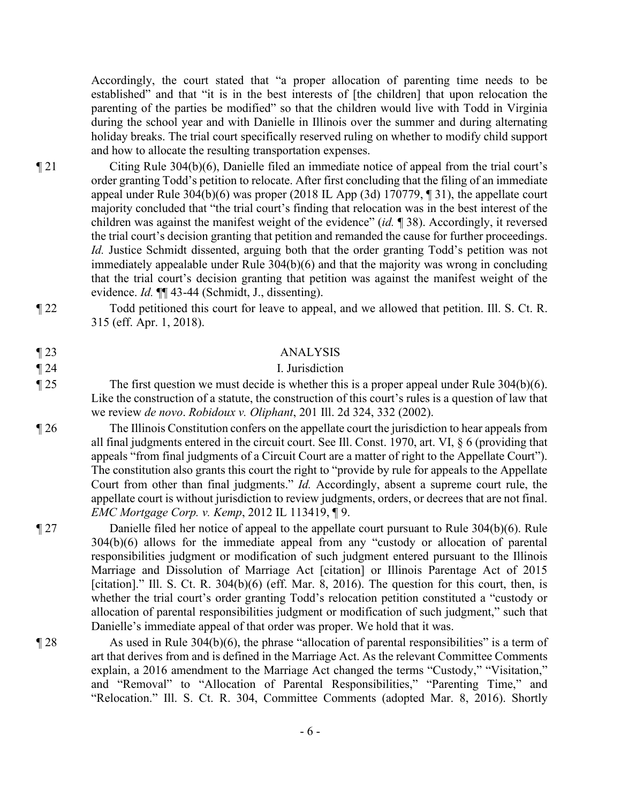Accordingly, the court stated that "a proper allocation of parenting time needs to be established" and that "it is in the best interests of [the children] that upon relocation the parenting of the parties be modified" so that the children would live with Todd in Virginia during the school year and with Danielle in Illinois over the summer and during alternating holiday breaks. The trial court specifically reserved ruling on whether to modify child support and how to allocate the resulting transportation expenses.

- ¶ 21 Citing Rule 304(b)(6), Danielle filed an immediate notice of appeal from the trial court's order granting Todd's petition to relocate. After first concluding that the filing of an immediate appeal under Rule  $304(b)(6)$  was proper (2018 IL App (3d) 170779,  $\sqrt{3}$ , the appellate court majority concluded that "the trial court's finding that relocation was in the best interest of the children was against the manifest weight of the evidence" (*id.* ¶ 38). Accordingly, it reversed the trial court's decision granting that petition and remanded the cause for further proceedings. *Id.* Justice Schmidt dissented, arguing both that the order granting Todd's petition was not immediately appealable under Rule 304(b)(6) and that the majority was wrong in concluding that the trial court's decision granting that petition was against the manifest weight of the evidence. *Id.* ¶¶ 43-44 (Schmidt, J., dissenting).
- 

¶ 22 Todd petitioned this court for leave to appeal, and we allowed that petition. Ill. S. Ct. R. 315 (eff. Apr. 1, 2018).

### ¶ 23 ANALYSIS

### ¶ 24 I. Jurisdiction

- $\parallel$  25 The first question we must decide is whether this is a proper appeal under Rule 304(b)(6). Like the construction of a statute, the construction of this court's rules is a question of law that we review *de novo*. *Robidoux v. Oliphant*, 201 Ill. 2d 324, 332 (2002).
- ¶ 26 The Illinois Constitution confers on the appellate court the jurisdiction to hear appeals from all final judgments entered in the circuit court. See Ill. Const. 1970, art. VI, § 6 (providing that appeals "from final judgments of a Circuit Court are a matter of right to the Appellate Court"). The constitution also grants this court the right to "provide by rule for appeals to the Appellate Court from other than final judgments." *Id.* Accordingly, absent a supreme court rule, the appellate court is without jurisdiction to review judgments, orders, or decrees that are not final. *EMC Mortgage Corp. v. Kemp*, 2012 IL 113419, ¶ 9.
- ¶ 27 Danielle filed her notice of appeal to the appellate court pursuant to Rule 304(b)(6). Rule 304(b)(6) allows for the immediate appeal from any "custody or allocation of parental responsibilities judgment or modification of such judgment entered pursuant to the Illinois Marriage and Dissolution of Marriage Act [citation] or Illinois Parentage Act of 2015 [citation]." Ill. S. Ct. R.  $304(b)(6)$  (eff. Mar. 8, 2016). The question for this court, then, is whether the trial court's order granting Todd's relocation petition constituted a "custody or allocation of parental responsibilities judgment or modification of such judgment," such that Danielle's immediate appeal of that order was proper. We hold that it was.
- $\P$  28 As used in Rule 304(b)(6), the phrase "allocation of parental responsibilities" is a term of art that derives from and is defined in the Marriage Act. As the relevant Committee Comments explain, a 2016 amendment to the Marriage Act changed the terms "Custody," "Visitation," and "Removal" to "Allocation of Parental Responsibilities," "Parenting Time," and "Relocation." Ill. S. Ct. R. 304, Committee Comments (adopted Mar. 8, 2016). Shortly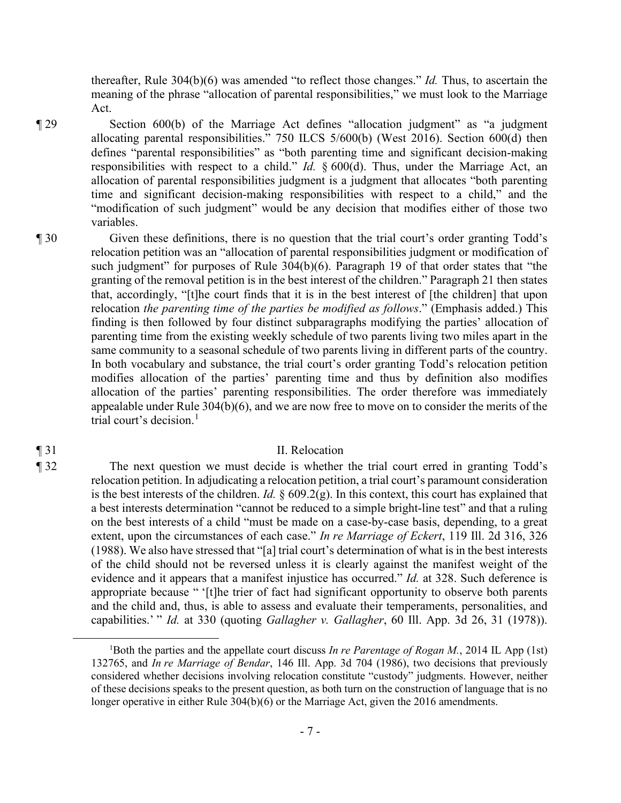thereafter, Rule 304(b)(6) was amended "to reflect those changes." *Id.* Thus, to ascertain the meaning of the phrase "allocation of parental responsibilities," we must look to the Marriage Act.

¶ 29 Section 600(b) of the Marriage Act defines "allocation judgment" as "a judgment allocating parental responsibilities." 750 ILCS 5/600(b) (West 2016). Section 600(d) then defines "parental responsibilities" as "both parenting time and significant decision-making responsibilities with respect to a child." *Id.* § 600(d). Thus, under the Marriage Act, an allocation of parental responsibilities judgment is a judgment that allocates "both parenting time and significant decision-making responsibilities with respect to a child," and the "modification of such judgment" would be any decision that modifies either of those two variables.

¶ 30 Given these definitions, there is no question that the trial court's order granting Todd's relocation petition was an "allocation of parental responsibilities judgment or modification of such judgment" for purposes of Rule 304(b)(6). Paragraph 19 of that order states that "the granting of the removal petition is in the best interest of the children." Paragraph 21 then states that, accordingly, "[t]he court finds that it is in the best interest of [the children] that upon relocation *the parenting time of the parties be modified as follows*." (Emphasis added.) This finding is then followed by four distinct subparagraphs modifying the parties' allocation of parenting time from the existing weekly schedule of two parents living two miles apart in the same community to a seasonal schedule of two parents living in different parts of the country. In both vocabulary and substance, the trial court's order granting Todd's relocation petition modifies allocation of the parties' parenting time and thus by definition also modifies allocation of the parties' parenting responsibilities. The order therefore was immediately appealable under Rule 304(b)(6), and we are now free to move on to consider the merits of the trial court's decision. $<sup>1</sup>$ </sup>

¶ 31 II. Relocation ¶ 32 The next question we must decide is whether the trial court erred in granting Todd's relocation petition. In adjudicating a relocation petition, a trial court's paramount consideration is the best interests of the children. *Id.*  $\S 609.2(g)$ . In this context, this court has explained that a best interests determination "cannot be reduced to a simple bright-line test" and that a ruling on the best interests of a child "must be made on a case-by-case basis, depending, to a great

extent, upon the circumstances of each case." *In re Marriage of Eckert*, 119 Ill. 2d 316, 326 (1988). We also have stressed that "[a] trial court's determination of what is in the best interests of the child should not be reversed unless it is clearly against the manifest weight of the evidence and it appears that a manifest injustice has occurred." *Id.* at 328. Such deference is appropriate because " '[t]he trier of fact had significant opportunity to observe both parents and the child and, thus, is able to assess and evaluate their temperaments, personalities, and capabilities.' " *Id.* at 330 (quoting *Gallagher v. Gallagher*, 60 Ill. App. 3d 26, 31 (1978)).

<sup>&</sup>lt;sup>1</sup>Both the parties and the appellate court discuss *In re Parentage of Rogan M.*, 2014 IL App (1st) 132765, and *In re Marriage of Bendar*, 146 Ill. App. 3d 704 (1986), two decisions that previously considered whether decisions involving relocation constitute "custody" judgments. However, neither of these decisions speaks to the present question, as both turn on the construction of language that is no longer operative in either Rule 304(b)(6) or the Marriage Act, given the 2016 amendments.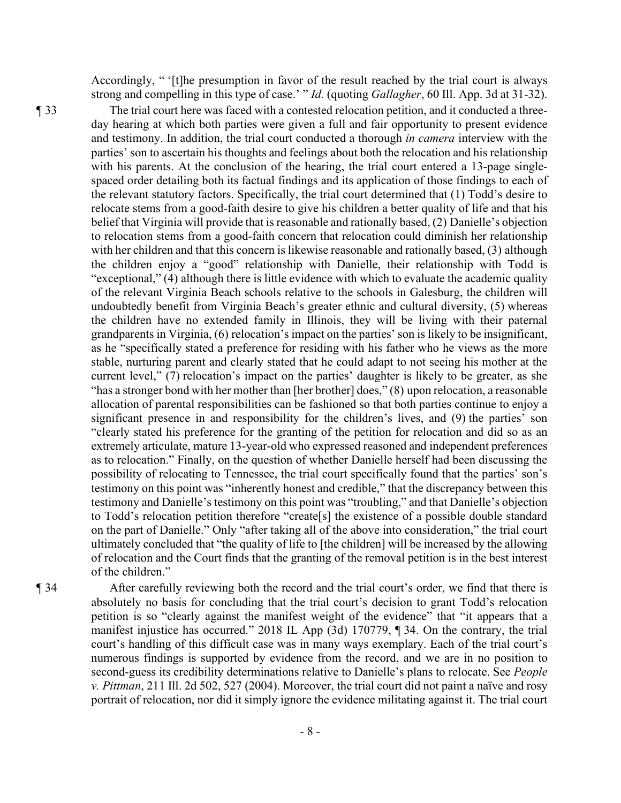Accordingly, " '[t]he presumption in favor of the result reached by the trial court is always strong and compelling in this type of case.' " *Id.* (quoting *Gallagher*, 60 Ill. App. 3d at 31-32).

¶ 33 The trial court here was faced with a contested relocation petition, and it conducted a threeday hearing at which both parties were given a full and fair opportunity to present evidence and testimony. In addition, the trial court conducted a thorough *in camera* interview with the parties' son to ascertain his thoughts and feelings about both the relocation and his relationship with his parents. At the conclusion of the hearing, the trial court entered a 13-page singlespaced order detailing both its factual findings and its application of those findings to each of the relevant statutory factors. Specifically, the trial court determined that (1) Todd's desire to relocate stems from a good-faith desire to give his children a better quality of life and that his belief that Virginia will provide that is reasonable and rationally based, (2) Danielle's objection to relocation stems from a good-faith concern that relocation could diminish her relationship with her children and that this concern is likewise reasonable and rationally based, (3) although the children enjoy a "good" relationship with Danielle, their relationship with Todd is "exceptional," (4) although there is little evidence with which to evaluate the academic quality of the relevant Virginia Beach schools relative to the schools in Galesburg, the children will undoubtedly benefit from Virginia Beach's greater ethnic and cultural diversity, (5) whereas the children have no extended family in Illinois, they will be living with their paternal grandparents in Virginia, (6) relocation's impact on the parties' son is likely to be insignificant, as he "specifically stated a preference for residing with his father who he views as the more stable, nurturing parent and clearly stated that he could adapt to not seeing his mother at the current level," (7) relocation's impact on the parties' daughter is likely to be greater, as she "has a stronger bond with her mother than [her brother] does," (8) upon relocation, a reasonable allocation of parental responsibilities can be fashioned so that both parties continue to enjoy a significant presence in and responsibility for the children's lives, and (9) the parties' son "clearly stated his preference for the granting of the petition for relocation and did so as an extremely articulate, mature 13-year-old who expressed reasoned and independent preferences as to relocation." Finally, on the question of whether Danielle herself had been discussing the possibility of relocating to Tennessee, the trial court specifically found that the parties' son's testimony on this point was "inherently honest and credible," that the discrepancy between this testimony and Danielle's testimony on this point was "troubling," and that Danielle's objection to Todd's relocation petition therefore "create[s] the existence of a possible double standard on the part of Danielle." Only "after taking all of the above into consideration," the trial court ultimately concluded that "the quality of life to [the children] will be increased by the allowing of relocation and the Court finds that the granting of the removal petition is in the best interest of the children."

¶ 34 After carefully reviewing both the record and the trial court's order, we find that there is absolutely no basis for concluding that the trial court's decision to grant Todd's relocation petition is so "clearly against the manifest weight of the evidence" that "it appears that a manifest injustice has occurred." 2018 IL App (3d) 170779, ¶ 34. On the contrary, the trial court's handling of this difficult case was in many ways exemplary. Each of the trial court's numerous findings is supported by evidence from the record, and we are in no position to second-guess its credibility determinations relative to Danielle's plans to relocate. See *People v. Pittman*, 211 Ill. 2d 502, 527 (2004). Moreover, the trial court did not paint a naïve and rosy portrait of relocation, nor did it simply ignore the evidence militating against it. The trial court